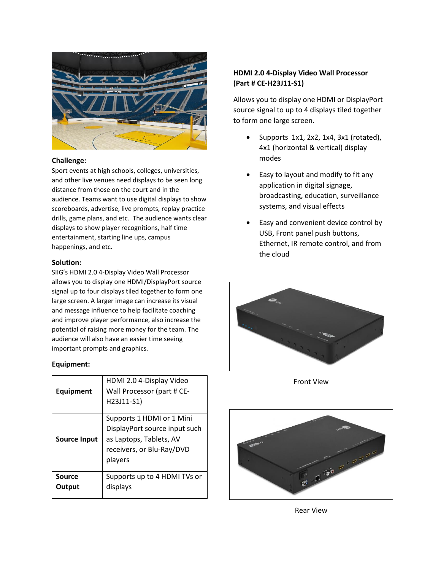

### **Challenge:**

Sport events at high schools, colleges, universities, and other live venues need displays to be seen long distance from those on the court and in the audience. Teams want to use digital displays to show scoreboards, advertise, live prompts, replay practice drills, game plans, and etc. The audience wants clear displays to show player recognitions, half time entertainment, starting line ups, campus happenings, and etc.

#### **Solution:**

SIIG's HDMI 2.0 4-Display Video Wall Processor allows you to display one HDMI/DisplayPort source signal up to four displays tiled together to form one large screen. A larger image can increase its visual and message influence to help facilitate coaching and improve player performance, also increase the potential of raising more money for the team. The audience will also have an easier time seeing important prompts and graphics.

#### **Equipment:**

| Equipment        | HDMI 2.0 4-Display Video<br>Wall Processor (part # CE-<br>H23J11-S1)                                                          |
|------------------|-------------------------------------------------------------------------------------------------------------------------------|
| Source Input     | Supports 1 HDMI or 1 Mini<br>DisplayPort source input such<br>as Laptops, Tablets, AV<br>receivers, or Blu-Ray/DVD<br>players |
| Source<br>Output | Supports up to 4 HDMI TVs or<br>displays                                                                                      |

## **HDMI 2.0 4-Display Video Wall Processor (Part # CE-H23J11-S1)**

Allows you to display one HDMI or DisplayPort source signal to up to 4 displays tiled together to form one large screen.

- Supports 1x1, 2x2, 1x4, 3x1 (rotated), 4x1 (horizontal & vertical) display modes
- Easy to layout and modify to fit any application in digital signage, broadcasting, education, surveillance systems, and visual effects
- Easy and convenient device control by USB, Front panel push buttons, Ethernet, IR remote control, and from the cloud



Front View



Rear View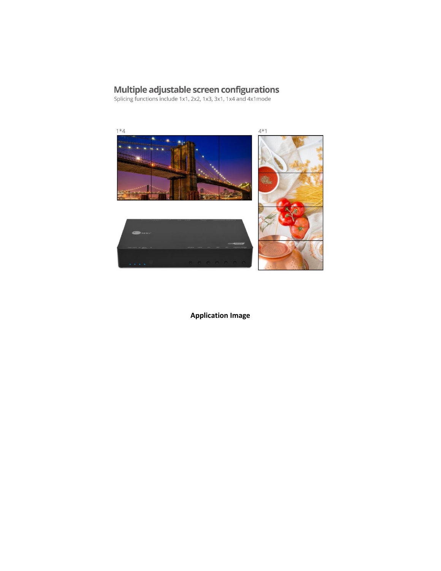# **Multiple adjustable screen configurations**<br>Splicing functions include 1x1, 2x2, 1x3, 3x1, 1x4 and 4x1mode



**Application Image**